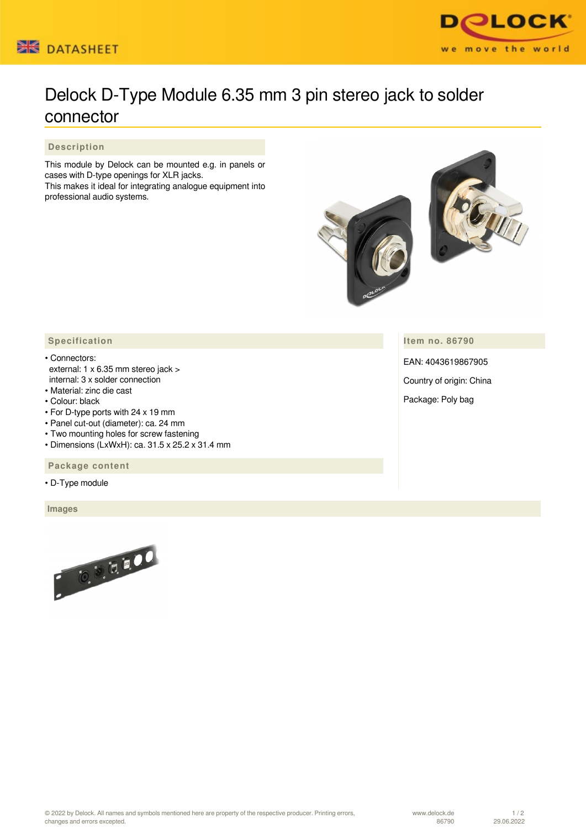



## Delock D-Type Module 6.35 mm 3 pin stereo jack to solder connector

 **Description**

This module by Delock can be mounted e.g. in panels or cases with D-type openings for XLR jacks. This makes it ideal for integrating analogue equipment into professional audio systems.



**Item no. 86790**

Package: Poly bag

EAN: 4043619867905 Country of origin: China

## **Specification**

- Connectors: external: 1 x 6.35 mm stereo jack > internal: 3 x solder connection
- Material: zinc die cast
- Colour: black
- For D-type ports with 24 x 19 mm
- Panel cut-out (diameter): ca. 24 mm
- Two mounting holes for screw fastening
- Dimensions (LxWxH): ca. 31.5 x 25.2 x 31.4 mm

 **Package content**

• D-Type module

 **Images**



www.delock.de 86790